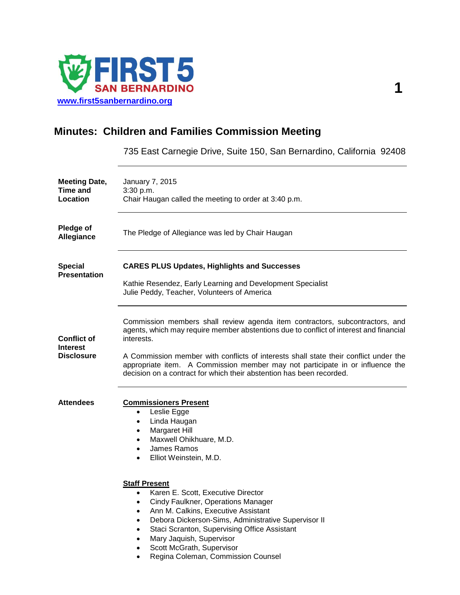

# **Minutes: Children and Families Commission Meeting**

735 East Carnegie Drive, Suite 150, San Bernardino, California 92408

| <b>Meeting Date,</b><br><b>Time and</b><br>Location        | January 7, 2015<br>3:30 p.m.<br>Chair Haugan called the meeting to order at 3:40 p.m.                                                                                                                                                                                                                                                                                                                                                 |  |  |
|------------------------------------------------------------|---------------------------------------------------------------------------------------------------------------------------------------------------------------------------------------------------------------------------------------------------------------------------------------------------------------------------------------------------------------------------------------------------------------------------------------|--|--|
| Pledge of<br>Allegiance                                    | The Pledge of Allegiance was led by Chair Haugan                                                                                                                                                                                                                                                                                                                                                                                      |  |  |
| <b>Special</b><br><b>Presentation</b>                      | <b>CARES PLUS Updates, Highlights and Successes</b><br>Kathie Resendez, Early Learning and Development Specialist<br>Julie Peddy, Teacher, Volunteers of America                                                                                                                                                                                                                                                                      |  |  |
| <b>Conflict of</b><br><b>Interest</b><br><b>Disclosure</b> | Commission members shall review agenda item contractors, subcontractors, and<br>agents, which may require member abstentions due to conflict of interest and financial<br>interests.<br>A Commission member with conflicts of interests shall state their conflict under the<br>appropriate item. A Commission member may not participate in or influence the<br>decision on a contract for which their abstention has been recorded. |  |  |
| <b>Attendees</b>                                           | <b>Commissioners Present</b><br>Leslie Egge<br>$\bullet$<br>Linda Haugan<br>٠<br>Margaret Hill<br>٠<br>Maxwell Ohikhuare, M.D.<br>٠<br>James Ramos<br>$\bullet$<br>Elliot Weinstein, M.D.<br>$\bullet$                                                                                                                                                                                                                                |  |  |
|                                                            | <b>Staff Present</b><br>Karen E. Scott, Executive Director<br>Cindy Faulkner, Operations Manager<br>$\bullet$<br>Ann M. Calkins, Executive Assistant<br>٠<br>Debora Dickerson-Sims, Administrative Supervisor II<br>$\bullet$<br>Staci Scranton, Supervising Office Assistant<br>$\bullet$<br>Mary Jaquish, Supervisor<br>$\bullet$<br>Scott McGrath, Supervisor<br>Regina Coleman, Commission Counsel<br>$\bullet$                   |  |  |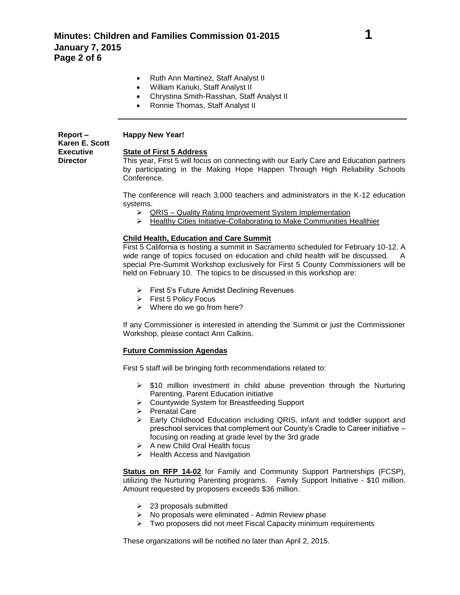- Ruth Ann Martinez, Staff Analyst II
- William Kariuki, Staff Analyst II
- Chrystina Smith-Rasshan, Staff Analyst II
- Ronnie Thomas, Staff Analyst II

#### **Report – Karen E. Scott Executive Director Happy New Year!**

### **State of First 5 Address**

This year, First 5 will focus on connecting with our Early Care and Education partners by participating in the Making Hope Happen Through High Reliability Schools Conference.

The conference will reach 3,000 teachers and administrators in the K-12 education systems.

- QRIS Quality Rating Improvement System Implementation
- $\triangleright$  Healthy Cities Initiative-Collaborating to Make Communities Healthier

## **Child Health, Education and Care Summit**

First 5 California is hosting a summit in Sacramento scheduled for February 10-12. A wide range of topics focused on education and child health will be discussed. A special Pre-Summit Workshop exclusively for First 5 County Commissioners will be held on February 10. The topics to be discussed in this workshop are:

- $\triangleright$  First 5's Future Amidst Declining Revenues
- $\triangleright$  First 5 Policy Focus
- $\triangleright$  Where do we go from here?

If any Commissioner is interested in attending the Summit or just the Commissioner Workshop, please contact Ann Calkins.

### **Future Commission Agendas**

First 5 staff will be bringing forth recommendations related to:

- $\triangleright$  \$10 million investment in child abuse prevention through the Nurturing Parenting, Parent Education initiative
- ▶ Countywide System for Breastfeeding Support
- $\triangleright$  Prenatal Care
- $\triangleright$  Early Childhood Education including QRIS, infant and toddler support and preschool services that complement our County's Cradle to Career initiative – focusing on reading at grade level by the 3rd grade
- $\triangleright$  A new Child Oral Health focus
- $\triangleright$  Health Access and Navigation

**Status on RFP 14-02** for Family and Community Support Partnerships (FCSP), utilizing the Nurturing Parenting programs. Family Support Initiative - \$10 million. Amount requested by proposers exceeds \$36 million.

- $\geq$  23 proposals submitted
- $\triangleright$  No proposals were eliminated Admin Review phase
- $\triangleright$  Two proposers did not meet Fiscal Capacity minimum requirements

These organizations will be notified no later than April 2, 2015.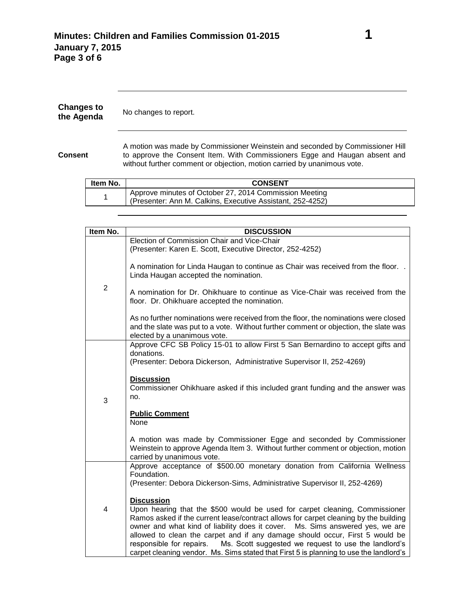| <b>Changes to</b><br>the Agenda | No changes to report.                                                                                                                                                                                                                  |  |
|---------------------------------|----------------------------------------------------------------------------------------------------------------------------------------------------------------------------------------------------------------------------------------|--|
| <b>Consent</b>                  | A motion was made by Commissioner Weinstein and seconded by Commissioner Hill<br>to approve the Consent Item. With Commissioners Egge and Haugan absent and<br>without further comment or objection, motion carried by unanimous vote. |  |
| <b>HAMANIA</b>                  | CONCENT                                                                                                                                                                                                                                |  |

| Item No. | <b>CONSENT</b>                                                                                                       |
|----------|----------------------------------------------------------------------------------------------------------------------|
|          | Approve minutes of October 27, 2014 Commission Meeting<br>(Presenter: Ann M. Calkins, Executive Assistant, 252-4252) |

| Item No.       | <b>DISCUSSION</b>                                                                                                                                                                                                                                                                                                                                                                                                                                                                                                                       |
|----------------|-----------------------------------------------------------------------------------------------------------------------------------------------------------------------------------------------------------------------------------------------------------------------------------------------------------------------------------------------------------------------------------------------------------------------------------------------------------------------------------------------------------------------------------------|
|                | Election of Commission Chair and Vice-Chair                                                                                                                                                                                                                                                                                                                                                                                                                                                                                             |
| $\overline{2}$ | (Presenter: Karen E. Scott, Executive Director, 252-4252)                                                                                                                                                                                                                                                                                                                                                                                                                                                                               |
|                | A nomination for Linda Haugan to continue as Chair was received from the floor. .<br>Linda Haugan accepted the nomination.                                                                                                                                                                                                                                                                                                                                                                                                              |
|                | A nomination for Dr. Ohikhuare to continue as Vice-Chair was received from the<br>floor. Dr. Ohikhuare accepted the nomination.                                                                                                                                                                                                                                                                                                                                                                                                         |
|                | As no further nominations were received from the floor, the nominations were closed<br>and the slate was put to a vote. Without further comment or objection, the slate was<br>elected by a unanimous vote.                                                                                                                                                                                                                                                                                                                             |
|                | Approve CFC SB Policy 15-01 to allow First 5 San Bernardino to accept gifts and                                                                                                                                                                                                                                                                                                                                                                                                                                                         |
|                | donations.                                                                                                                                                                                                                                                                                                                                                                                                                                                                                                                              |
| 3              | (Presenter: Debora Dickerson, Administrative Supervisor II, 252-4269)                                                                                                                                                                                                                                                                                                                                                                                                                                                                   |
|                | <b>Discussion</b><br>Commissioner Ohikhuare asked if this included grant funding and the answer was<br>no.                                                                                                                                                                                                                                                                                                                                                                                                                              |
|                | <b>Public Comment</b>                                                                                                                                                                                                                                                                                                                                                                                                                                                                                                                   |
|                | <b>None</b>                                                                                                                                                                                                                                                                                                                                                                                                                                                                                                                             |
|                | A motion was made by Commissioner Egge and seconded by Commissioner<br>Weinstein to approve Agenda Item 3. Without further comment or objection, motion<br>carried by unanimous vote.                                                                                                                                                                                                                                                                                                                                                   |
|                | Approve acceptance of \$500.00 monetary donation from California Wellness                                                                                                                                                                                                                                                                                                                                                                                                                                                               |
| 4              | Foundation.<br>(Presenter: Debora Dickerson-Sims, Administrative Supervisor II, 252-4269)                                                                                                                                                                                                                                                                                                                                                                                                                                               |
|                | <b>Discussion</b><br>Upon hearing that the \$500 would be used for carpet cleaning, Commissioner<br>Ramos asked if the current lease/contract allows for carpet cleaning by the building<br>owner and what kind of liability does it cover. Ms. Sims answered yes, we are<br>allowed to clean the carpet and if any damage should occur, First 5 would be<br>Ms. Scott suggested we request to use the landlord's<br>responsible for repairs.<br>carpet cleaning vendor. Ms. Sims stated that First 5 is planning to use the landlord's |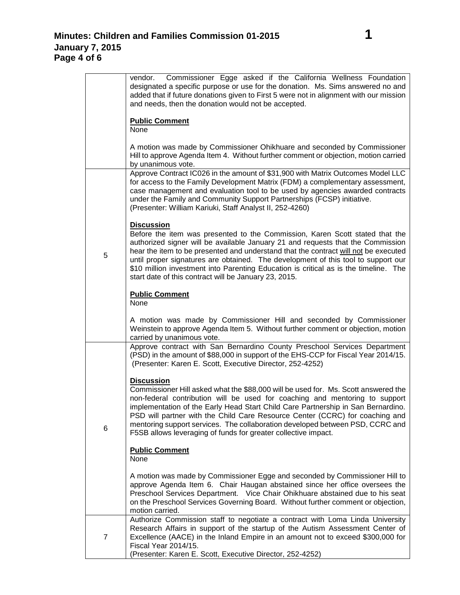|                | Commissioner Egge asked if the California Wellness Foundation<br>vendor.<br>designated a specific purpose or use for the donation. Ms. Sims answered no and<br>added that if future donations given to First 5 were not in alignment with our mission<br>and needs, then the donation would not be accepted.                                                                                                                                                                                                      |  |  |
|----------------|-------------------------------------------------------------------------------------------------------------------------------------------------------------------------------------------------------------------------------------------------------------------------------------------------------------------------------------------------------------------------------------------------------------------------------------------------------------------------------------------------------------------|--|--|
|                | <b>Public Comment</b><br>None                                                                                                                                                                                                                                                                                                                                                                                                                                                                                     |  |  |
|                | A motion was made by Commissioner Ohikhuare and seconded by Commissioner<br>Hill to approve Agenda Item 4. Without further comment or objection, motion carried<br>by unanimous vote.                                                                                                                                                                                                                                                                                                                             |  |  |
|                | Approve Contract IC026 in the amount of \$31,900 with Matrix Outcomes Model LLC<br>for access to the Family Development Matrix (FDM) a complementary assessment,<br>case management and evaluation tool to be used by agencies awarded contracts<br>under the Family and Community Support Partnerships (FCSP) initiative.<br>(Presenter: William Kariuki, Staff Analyst II, 252-4260)                                                                                                                            |  |  |
| 5              | <b>Discussion</b><br>Before the item was presented to the Commission, Karen Scott stated that the<br>authorized signer will be available January 21 and requests that the Commission<br>hear the item to be presented and understand that the contract will not be executed<br>until proper signatures are obtained. The development of this tool to support our<br>\$10 million investment into Parenting Education is critical as is the timeline. The<br>start date of this contract will be January 23, 2015. |  |  |
|                | <b>Public Comment</b><br>None                                                                                                                                                                                                                                                                                                                                                                                                                                                                                     |  |  |
|                | A motion was made by Commissioner Hill and seconded by Commissioner<br>Weinstein to approve Agenda Item 5. Without further comment or objection, motion<br>carried by unanimous vote.                                                                                                                                                                                                                                                                                                                             |  |  |
|                | Approve contract with San Bernardino County Preschool Services Department<br>(PSD) in the amount of \$88,000 in support of the EHS-CCP for Fiscal Year 2014/15.<br>(Presenter: Karen E. Scott, Executive Director, 252-4252)                                                                                                                                                                                                                                                                                      |  |  |
| 6              | <b>Discussion</b><br>Commissioner Hill asked what the \$88,000 will be used for. Ms. Scott answered the<br>non-federal contribution will be used for coaching and mentoring to support<br>implementation of the Early Head Start Child Care Partnership in San Bernardino.<br>PSD will partner with the Child Care Resource Center (CCRC) for coaching and<br>mentoring support services. The collaboration developed between PSD, CCRC and<br>F5SB allows leveraging of funds for greater collective impact.     |  |  |
|                | <b>Public Comment</b><br>None                                                                                                                                                                                                                                                                                                                                                                                                                                                                                     |  |  |
|                | A motion was made by Commissioner Egge and seconded by Commissioner Hill to<br>approve Agenda Item 6. Chair Haugan abstained since her office oversees the<br>Preschool Services Department. Vice Chair Ohikhuare abstained due to his seat<br>on the Preschool Services Governing Board. Without further comment or objection,<br>motion carried.                                                                                                                                                                |  |  |
| $\overline{7}$ | Authorize Commission staff to negotiate a contract with Loma Linda University<br>Research Affairs in support of the startup of the Autism Assessment Center of<br>Excellence (AACE) in the Inland Empire in an amount not to exceed \$300,000 for<br>Fiscal Year 2014/15.<br>(Presenter: Karen E. Scott, Executive Director, 252-4252)                                                                                                                                                                            |  |  |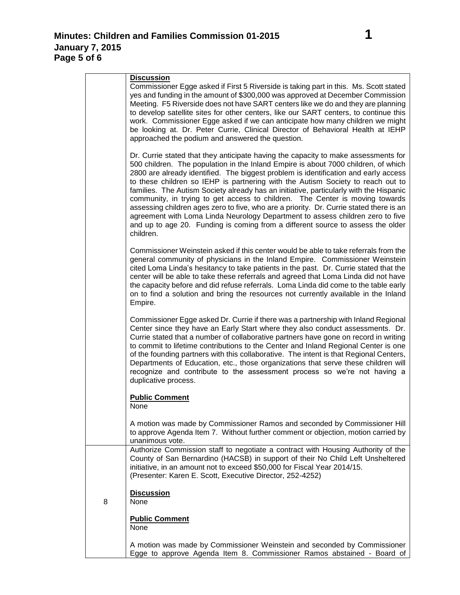|   | <b>Discussion</b>                                                                                                                                                                                                                                                                                                                                                                                                                                                                                                                                                                                                                                                                                                                                                                                         |
|---|-----------------------------------------------------------------------------------------------------------------------------------------------------------------------------------------------------------------------------------------------------------------------------------------------------------------------------------------------------------------------------------------------------------------------------------------------------------------------------------------------------------------------------------------------------------------------------------------------------------------------------------------------------------------------------------------------------------------------------------------------------------------------------------------------------------|
|   | Commissioner Egge asked if First 5 Riverside is taking part in this. Ms. Scott stated<br>yes and funding in the amount of \$300,000 was approved at December Commission<br>Meeting. F5 Riverside does not have SART centers like we do and they are planning<br>to develop satellite sites for other centers, like our SART centers, to continue this<br>work. Commissioner Egge asked if we can anticipate how many children we might<br>be looking at. Dr. Peter Currie, Clinical Director of Behavioral Health at IEHP<br>approached the podium and answered the question.                                                                                                                                                                                                                             |
|   | Dr. Currie stated that they anticipate having the capacity to make assessments for<br>500 children. The population in the Inland Empire is about 7000 children, of which<br>2800 are already identified. The biggest problem is identification and early access<br>to these children so IEHP is partnering with the Autism Society to reach out to<br>families. The Autism Society already has an initiative, particularly with the Hispanic<br>community, in trying to get access to children. The Center is moving towards<br>assessing children ages zero to five, who are a priority. Dr. Currie stated there is an<br>agreement with Loma Linda Neurology Department to assess children zero to five<br>and up to age 20. Funding is coming from a different source to assess the older<br>children. |
|   | Commissioner Weinstein asked if this center would be able to take referrals from the<br>general community of physicians in the Inland Empire. Commissioner Weinstein<br>cited Loma Linda's hesitancy to take patients in the past. Dr. Currie stated that the<br>center will be able to take these referrals and agreed that Loma Linda did not have<br>the capacity before and did refuse referrals. Loma Linda did come to the table early<br>on to find a solution and bring the resources not currently available in the Inland<br>Empire.                                                                                                                                                                                                                                                            |
|   | Commissioner Egge asked Dr. Currie if there was a partnership with Inland Regional<br>Center since they have an Early Start where they also conduct assessments. Dr.<br>Currie stated that a number of collaborative partners have gone on record in writing<br>to commit to lifetime contributions to the Center and Inland Regional Center is one<br>of the founding partners with this collaborative. The intent is that Regional Centers,<br>Departments of Education, etc., those organizations that serve these children will<br>recognize and contribute to the assessment process so we're not having a<br>duplicative process.                                                                                                                                                                   |
|   | <b>Public Comment</b><br>None                                                                                                                                                                                                                                                                                                                                                                                                                                                                                                                                                                                                                                                                                                                                                                             |
|   | A motion was made by Commissioner Ramos and seconded by Commissioner Hill<br>to approve Agenda Item 7. Without further comment or objection, motion carried by<br>unanimous vote.                                                                                                                                                                                                                                                                                                                                                                                                                                                                                                                                                                                                                         |
|   | Authorize Commission staff to negotiate a contract with Housing Authority of the<br>County of San Bernardino (HACSB) in support of their No Child Left Unsheltered<br>initiative, in an amount not to exceed \$50,000 for Fiscal Year 2014/15.<br>(Presenter: Karen E. Scott, Executive Director, 252-4252)                                                                                                                                                                                                                                                                                                                                                                                                                                                                                               |
| 8 | <b>Discussion</b><br>None                                                                                                                                                                                                                                                                                                                                                                                                                                                                                                                                                                                                                                                                                                                                                                                 |
|   | <b>Public Comment</b><br>None                                                                                                                                                                                                                                                                                                                                                                                                                                                                                                                                                                                                                                                                                                                                                                             |
|   | A motion was made by Commissioner Weinstein and seconded by Commissioner<br>Egge to approve Agenda Item 8. Commissioner Ramos abstained - Board of                                                                                                                                                                                                                                                                                                                                                                                                                                                                                                                                                                                                                                                        |